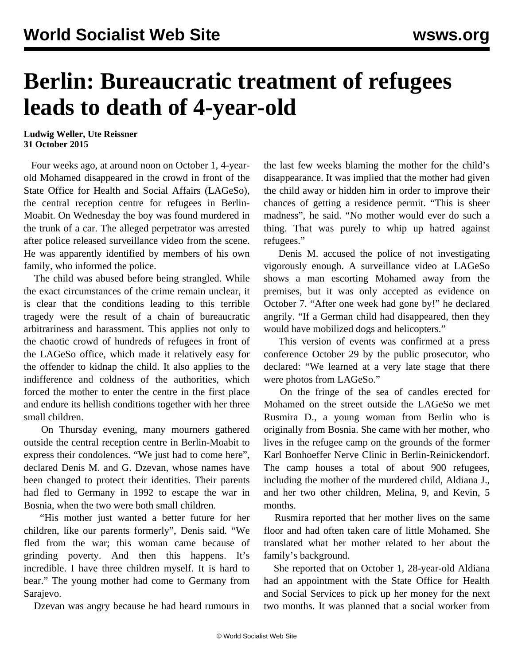## **Berlin: Bureaucratic treatment of refugees leads to death of 4-year-old**

**Ludwig Weller, Ute Reissner 31 October 2015**

 Four weeks ago, at around noon on October 1, 4-yearold Mohamed disappeared in the crowd in front of the State Office for Health and Social Affairs (LAGeSo), the central reception centre for refugees in Berlin-Moabit. On Wednesday the boy was found murdered in the trunk of a car. The alleged perpetrator was arrested after police released surveillance video from the scene. He was apparently identified by members of his own family, who informed the police.

 The child was abused before being strangled. While the exact circumstances of the crime remain unclear, it is clear that the conditions leading to this terrible tragedy were the result of a chain of bureaucratic arbitrariness and harassment. This applies not only to the chaotic crowd of hundreds of refugees in front of the LAGeSo office, which made it relatively easy for the offender to kidnap the child. It also applies to the indifference and coldness of the authorities, which forced the mother to enter the centre in the first place and endure its hellish conditions together with her three small children.

 On Thursday evening, many mourners gathered outside the central reception centre in Berlin-Moabit to express their condolences. "We just had to come here", declared Denis M. and G. Dzevan, whose names have been changed to protect their identities. Their parents had fled to Germany in 1992 to escape the war in Bosnia, when the two were both small children.

 "His mother just wanted a better future for her children, like our parents formerly", Denis said. "We fled from the war; this woman came because of grinding poverty. And then this happens. It's incredible. I have three children myself. It is hard to bear." The young mother had come to Germany from Sarajevo.

Dzevan was angry because he had heard rumours in

the last few weeks blaming the mother for the child's disappearance. It was implied that the mother had given the child away or hidden him in order to improve their chances of getting a residence permit. "This is sheer madness", he said. "No mother would ever do such a thing. That was purely to whip up hatred against refugees."

 Denis M. accused the police of not investigating vigorously enough. A surveillance video at LAGeSo shows a man escorting Mohamed away from the premises, but it was only accepted as evidence on October 7. "After one week had gone by!" he declared angrily. "If a German child had disappeared, then they would have mobilized dogs and helicopters."

 This version of events was confirmed at a press conference October 29 by the public prosecutor, who declared: "We learned at a very late stage that there were photos from LAGeSo."

 On the fringe of the sea of candles erected for Mohamed on the street outside the LAGeSo we met Rusmira D., a young woman from Berlin who is originally from Bosnia. She came with her mother, who lives in the refugee camp on the grounds of the former Karl Bonhoeffer Nerve Clinic in Berlin-Reinickendorf. The camp houses a total of about 900 refugees, including the mother of the murdered child, Aldiana J., and her two other children, Melina, 9, and Kevin, 5 months.

 Rusmira reported that her mother lives on the same floor and had often taken care of little Mohamed. She translated what her mother related to her about the family's background.

 She reported that on October 1, 28-year-old Aldiana had an appointment with the State Office for Health and Social Services to pick up her money for the next two months. It was planned that a social worker from